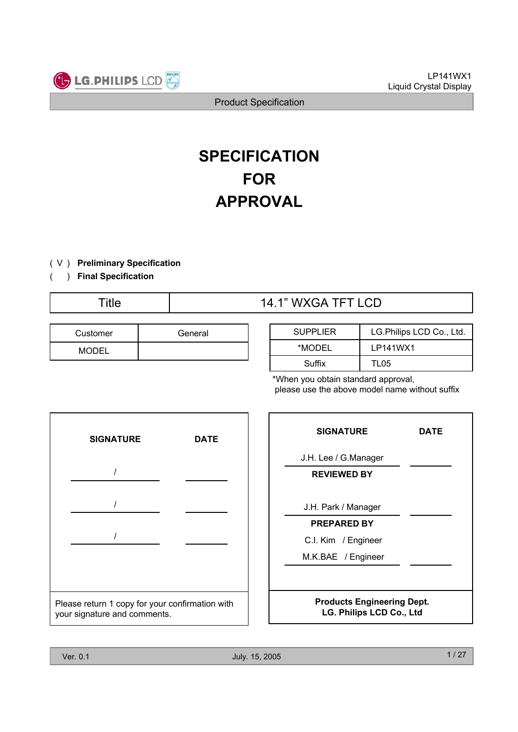

# **SPECIFICATION FOR APPROVAL**

- ) ( V **Preliminary Specification**
- ) **Final Specification** (

# Title  $14.1$ " WXGA TFT LCD

| Customer     | General |
|--------------|---------|
| <b>MODEL</b> |         |

| <b>SUPPLIER</b> | LG.Philips LCD Co., Ltd. |
|-----------------|--------------------------|
| *MODEL          | LP141WX1                 |
| Suffix          | TL05                     |

\*When you obtain standard approval, please use the above model name without suffix



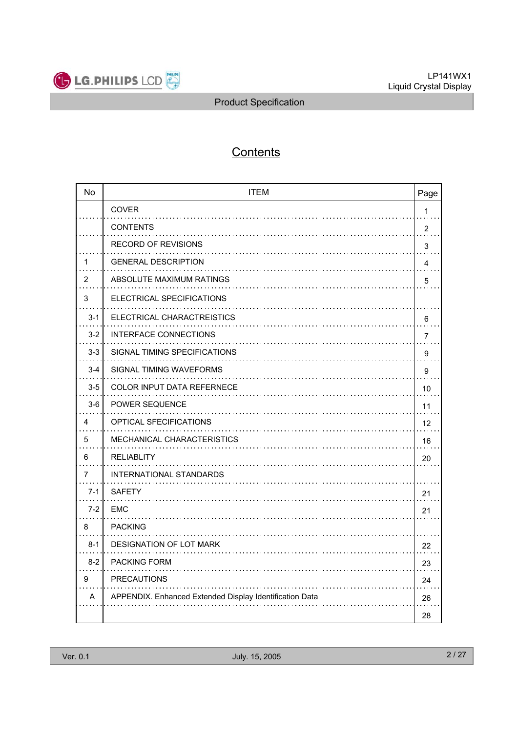

# **Contents**

| <b>No</b> | <b>ITEM</b>                                             | Page           |
|-----------|---------------------------------------------------------|----------------|
|           | <b>COVER</b>                                            | $\mathbf{1}$   |
|           | <b>CONTENTS</b><br>.                                    | $\overline{2}$ |
|           | <b>RECORD OF REVISIONS</b>                              | 3              |
| 1         | <b>GENERAL DESCRIPTION</b>                              | 4              |
| 2         | ABSOLUTE MAXIMUM RATINGS                                | 5              |
| 3         | ELECTRICAL SPECIFICATIONS                               |                |
| $3 - 1$   | ELECTRICAL CHARACTREISTICS                              | 6              |
| $3 - 2$   | <b>INTERFACE CONNECTIONS</b>                            | 7              |
| $3 - 3$   | SIGNAL TIMING SPECIFICATIONS                            | 9              |
| $3 - 4$   | SIGNAL TIMING WAVEFORMS                                 | 9              |
| $3-5$     | <b>COLOR INPUT DATA REFERNECE</b>                       | 10             |
| $3-6$     | <b>POWER SEQUENCE</b>                                   | 11             |
| 4         | <b>OPTICAL SFECIFICATIONS</b>                           | 12             |
| 5         | <b>MECHANICAL CHARACTERISTICS</b>                       | 16             |
| 6         | <b>RELIABLITY</b>                                       | 20             |
| 7         | <b>INTERNATIONAL STANDARDS</b>                          |                |
| $7-1$     | <b>SAFETY</b>                                           | 21             |
| $7 - 2$   | <b>EMC</b>                                              | 21             |
| 8         | <b>PACKING</b>                                          |                |
| $8 - 1$   | <b>DESIGNATION OF LOT MARK</b>                          | 22             |
| $8 - 2$   | <b>PACKING FORM</b>                                     | 23             |
| 9         | <b>PRECAUTIONS</b>                                      | 24             |
| A         | APPENDIX. Enhanced Extended Display Identification Data | 26             |
|           |                                                         | 28             |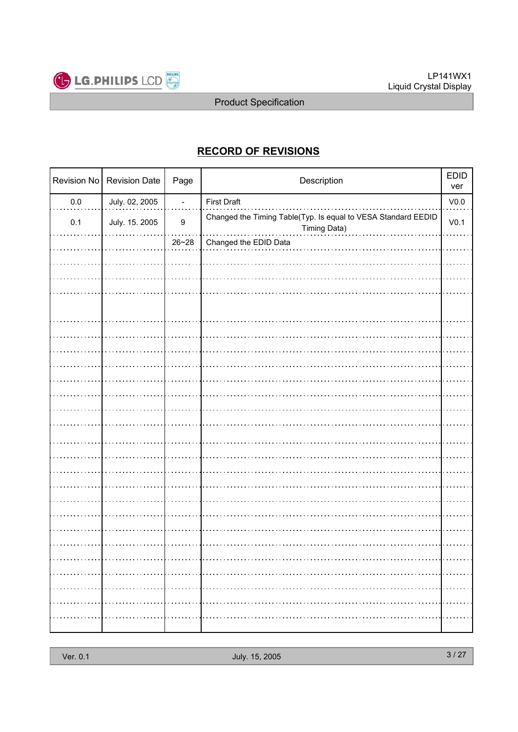

## **RECORD OF REVISIONS**

| Revision No | <b>Revision Date</b> | Page             | Description                                                                   | <b>EDID</b><br>ver |
|-------------|----------------------|------------------|-------------------------------------------------------------------------------|--------------------|
| $0.0\,$     | July. 02, 2005       | $\blacksquare$   | <b>First Draft</b>                                                            | V <sub>0.0</sub>   |
| 0.1         | July. 15. 2005       | $\boldsymbol{9}$ | Changed the Timing Table(Typ. Is equal to VESA Standard EEDID<br>Timing Data) | V <sub>0.1</sub>   |
|             |                      | $26 - 28$        | Changed the EDID Data                                                         |                    |
|             |                      |                  |                                                                               |                    |
|             |                      |                  |                                                                               |                    |
|             |                      |                  |                                                                               |                    |
|             |                      |                  |                                                                               |                    |
|             |                      |                  |                                                                               |                    |
|             |                      |                  |                                                                               |                    |
|             |                      |                  |                                                                               |                    |
|             |                      |                  |                                                                               |                    |
|             |                      |                  |                                                                               |                    |
|             |                      |                  |                                                                               |                    |
|             |                      |                  |                                                                               |                    |
|             |                      |                  |                                                                               |                    |
|             |                      |                  |                                                                               |                    |
|             |                      |                  |                                                                               |                    |
|             |                      |                  |                                                                               |                    |
|             |                      |                  |                                                                               |                    |
|             |                      |                  |                                                                               |                    |
|             |                      |                  |                                                                               |                    |
|             |                      |                  |                                                                               |                    |
|             |                      |                  |                                                                               |                    |
|             |                      | .                |                                                                               | .                  |
|             |                      |                  |                                                                               |                    |
|             |                      |                  |                                                                               |                    |
|             |                      |                  |                                                                               |                    |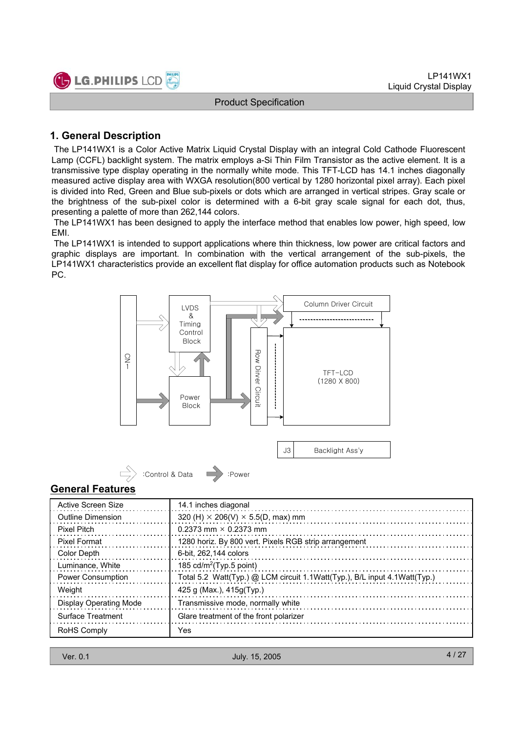

#### **1. General Description**

The LP141WX1 is a Color Active Matrix Liquid Crystal Display with an integral Cold Cathode Fluorescent Lamp (CCFL) backlight system. The matrix employs a-Si Thin Film Transistor as the active element. It is a transmissive type display operating in the normally white mode. This TFT-LCD has 14.1 inches diagonally measured active display area with WXGA resolution(800 vertical by 1280 horizontal pixel array). Each pixel is divided into Red, Green and Blue sub-pixels or dots which are arranged in vertical stripes. Gray scale or the brightness of the sub-pixel color is determined with a 6-bit gray scale signal for each dot, thus, presenting a palette of more than 262,144 colors.

The LP141WX1 has been designed to apply the interface method that enables low power, high speed, low EMI.

The LP141WX1 is intended to support applications where thin thickness, low power are critical factors and graphic displays are important. In combination with the vertical arrangement of the sub-pixels, the LP141WX1 characteristics provide an excellent flat display for office automation products such as Notebook PC.



#### **General Features**

| Active Screen Size            | 14.1 inches diagonal                                                      |
|-------------------------------|---------------------------------------------------------------------------|
| Outline Dimension             | 320 (H) $\times$ 206(V) $\times$ 5.5(D, max) mm                           |
| Pixel Pitch                   | 0.2373 mm $\times$ 0.2373 mm                                              |
| Pixel Format                  | 1280 horiz. By 800 vert. Pixels RGB strip arrangement                     |
| Color Depth                   | 6-bit. 262.144 colors                                                     |
| Luminance, White              | 185 cd/m <sup>2</sup> (Typ.5 point)                                       |
| Power Consumption             | Total 5.2 Watt(Typ.) @ LCM circuit 1.1Watt(Typ.), B/L input 4.1Watt(Typ.) |
| Weight                        | 425 g (Max.), $415g(Typ.)$                                                |
| <b>Display Operating Mode</b> | Transmissive mode, normally white                                         |
| Surface Treatment             | Glare treatment of the front polarizer                                    |
| RoHS Comply                   | <b>Yes</b>                                                                |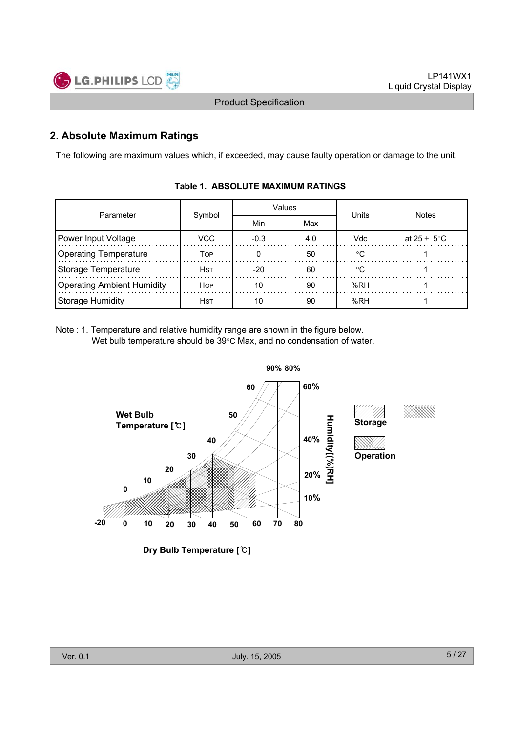

### **2. Absolute Maximum Ratings**

The following are maximum values which, if exceeded, may cause faulty operation or damage to the unit.

| Parameter                         |             |        | Values | Units  | <b>Notes</b>            |  |  |
|-----------------------------------|-------------|--------|--------|--------|-------------------------|--|--|
|                                   | Symbol      | Min    | Max    |        |                         |  |  |
| Power Input Voltage               | VCC         | $-0.3$ | 4.0    | Vdc    | at $25 \pm 5^{\circ}$ C |  |  |
| <b>Operating Temperature</b>      | TOP         |        | 50     | $\sim$ |                         |  |  |
| <b>Storage Temperature</b>        | <b>H</b> st | $-20$  | 60     | ∘∩     |                         |  |  |
| <b>Operating Ambient Humidity</b> | <b>HOP</b>  | 10     | 90     | %RH    |                         |  |  |
| <b>Storage Humidity</b>           | <b>H</b> st | 10     | 90     | %RH    |                         |  |  |

#### **Table 1. ABSOLUTE MAXIMUM RATINGS**

Note : 1. Temperature and relative humidity range are shown in the figure below. Wet bulb temperature should be  $39^{\circ}$ C Max, and no condensation of water.



**Dry Bulb Temperature []**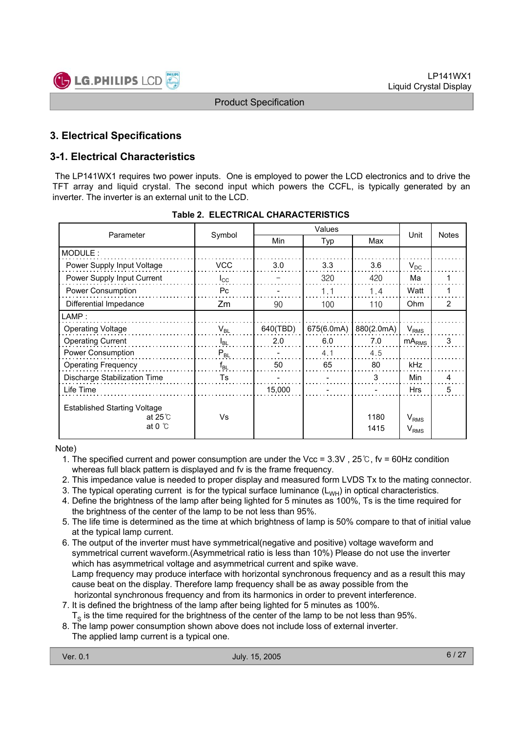

### **3. Electrical Specifications**

### **3-1. Electrical Characteristics**

The LP141WX1 requires two power inputs. One is employed to power the LCD electronics and to drive the TFT array and liquid crystal. The second input which powers the CCFL, is typically generated by an inverter. The inverter is an external unit to the LCD.

| Parameter                                                                  | Symbol         | Min      | Typ        | Max          | Unit                                 | <b>Notes</b> |  |
|----------------------------------------------------------------------------|----------------|----------|------------|--------------|--------------------------------------|--------------|--|
| MODULE:                                                                    |                |          |            |              |                                      |              |  |
| Power Supply Input Voltage                                                 | <b>VCC</b>     | 3.0      | 3.3        | 3.6          | $V_{DC}$                             |              |  |
| Power Supply Input Current                                                 | $I_{\rm CC}$   |          | 320        | 420          | Ma                                   |              |  |
| Power Consumption                                                          | P <sub>C</sub> |          | 1.1        | 1.4          | Watt                                 |              |  |
| Differential Impedance                                                     | Zm             | 90       | 100        | 110          | Ohm                                  | 2            |  |
| $\mathsf{LAMP}$ :                                                          |                |          |            |              |                                      |              |  |
| <b>Operating Voltage</b>                                                   | $V_{BL}$       | 640(TBD) | 675(6.0mA) | 880(2.0mA)   | $V_{RMS}$                            |              |  |
| <b>Operating Current</b>                                                   | $I_{BL}$       | 2.0      | 6.0        | 7.0          | $mA_{RMS}$                           | 3            |  |
| Power Consumption                                                          | $P_{BL}$       |          | 4.1        | 4.5          |                                      |              |  |
| <b>Operating Frequency</b>                                                 | $f_{BL}$       | 50       | 65         | 80           | kHz                                  |              |  |
| <b>Discharge Stabilization Time</b>                                        | Ts             |          |            | 3            | Min                                  | 4            |  |
| Life Time                                                                  |                | 15,000   |            |              | <b>Hrs</b>                           | 5            |  |
| <b>Established Starting Voltage</b><br>at $25^\circ$ C<br>at 0 $\degree$ C | Vs             |          |            | 1180<br>1415 | $V_{RMS}$<br><b>V</b> <sub>RMS</sub> |              |  |

#### **Table 2. ELECTRICAL CHARACTERISTICS**

Note)

- 1. The specified current and power consumption are under the Vcc =  $3.3V$ ,  $25^\circ$ C, fv = 60Hz condition whereas full black pattern is displayed and fv is the frame frequency.
- 2. This impedance value is needed to proper display and measured form LVDS Tx to the mating connector.
- 3. The typical operating current is for the typical surface luminance  $(L_{WH})$  in optical characteristics.
- 4. Define the brightness of the lamp after being lighted for 5 minutes as 100%, Ts is the time required for the brightness of the center of the lamp to be not less than 95%.
- 5. The life time is determined as the time at which brightness of lamp is 50% compare to that of initial value at the typical lamp current.
- 6. The output of the inverter must have symmetrical(negative and positive) voltage waveform and symmetrical current waveform.(Asymmetrical ratio is less than 10%) Please do not use the inverter which has asymmetrical voltage and asymmetrical current and spike wave. Lamp frequency may produce interface with horizontal synchronous frequency and as a result this may cause beat on the display. Therefore lamp frequency shall be as away possible from the horizontal synchronous frequency and from its harmonics in order to prevent interference.
- 7. It is defined the brightness of the lamp after being lighted for 5 minutes as 100%.
- $T<sub>s</sub>$  is the time required for the brightness of the center of the lamp to be not less than 95%.
- 8. The lamp power consumption shown above does not include loss of external inverter.
- The applied lamp current is a typical one.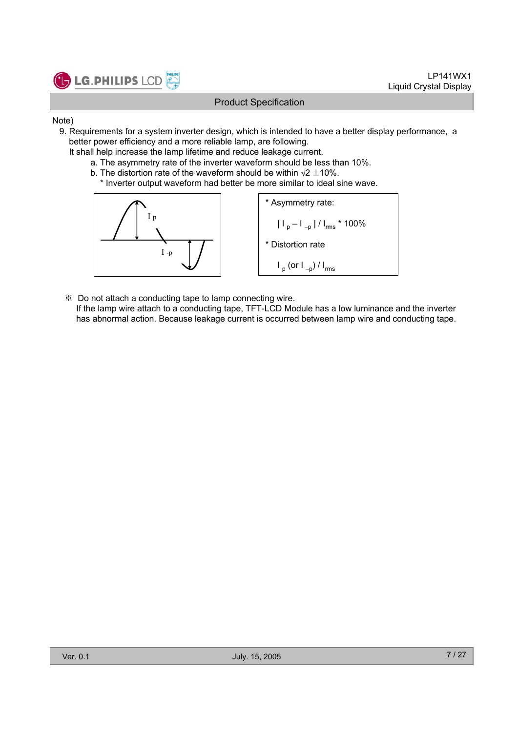

#### Note)

- 9. Requirements for a system inverter design, which is intended to have a better display performance, a better power efficiency and a more reliable lamp, are following.
	- It shall help increase the lamp lifetime and reduce leakage current.
		- a. The asymmetry rate of the inverter waveform should be less than 10%.
		- b. The distortion rate of the waveform should be within  $\sqrt{2} \pm 10\%$ .
			- \* Inverter output waveform had better be more similar to ideal sine wave.



- Do not attach a conducting tape to lamp connecting wire.
	- If the lamp wire attach to a conducting tape, TFT-LCD Module has a low luminance and the inverter has abnormal action. Because leakage current is occurred between lamp wire and conducting tape.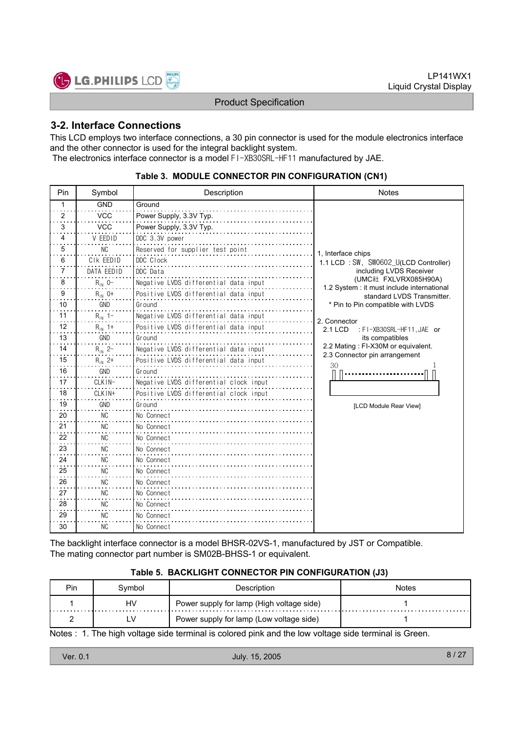

#### **3-2. Interface Connections**

This LCD employs two interface connections, a 30 pin connector is used for the module electronics interface and the other connector is used for the integral backlight system. The electronics interface connector is a model FI-XB30SRL-HF11 manufactured by JAE.

| Pin            | Symbol      | Description                            | <b>Notes</b>                                                        |
|----------------|-------------|----------------------------------------|---------------------------------------------------------------------|
| 1              | <b>GND</b>  | Ground                                 |                                                                     |
| $\overline{2}$ | <b>VCC</b>  | Power Supply, 3.3V Typ.                |                                                                     |
| 3              | <b>VCC</b>  | Power Supply, 3.3V Typ.                |                                                                     |
| 4              | V EEDID     | DDC 3.3V power                         |                                                                     |
| 5              | NC          | Reserved for supplier test point       | 1. Interface chips                                                  |
| 6              | CIK EEDID   | DDC Clock                              | 1.1 LCD : SW, SW0602_U(LCD Controller)                              |
| 7              | DATA FFDID  | DDC Data                               | including LVDS Receiver                                             |
| 8              | $R_{1N}$ 0- | Negative LVDS differential data input  | (UMC社 FXLVRX085H90A)<br>1.2 System : it must include international  |
| 9              | $R_{IN}$ 0+ | Positive LVDS differential data input  | standard LVDS Transmitter.                                          |
| 10             | GND         | Ground                                 | * Pin to Pin compatible with LVDS                                   |
| 11             | $R_{1N}$ 1- | Negative LVDS differential data input  | 2. Connector                                                        |
| 12             | $R_{1N}$ 1+ | Positive LVDS differential data input  | <b>2.1 LCD</b><br>: FI-XB30SRL-HF11, JAE or                         |
| 13             | GND         | Ground                                 | its compatibles                                                     |
| 14             | $R_{IN}$ 2- | Negative LVDS differential data input  | 2.2 Mating: FI-X30M or equivalent.<br>2.3 Connector pin arrangement |
| 15             | $R_{IN}$ 2+ | Positive LVDS differential data input  | 30                                                                  |
| 16             | GND         | Ground                                 |                                                                     |
| 17             | CLKIN-      | Negative LVDS differential clock input |                                                                     |
| 18             | CLKIN+      | Positive LVDS differential clock input |                                                                     |
| 19             | GND         | Ground                                 | [LCD Module Rear View]                                              |
| 20             | <b>NC</b>   | No Connect                             |                                                                     |
| 21             | <b>NC</b>   | No Connect                             |                                                                     |
| 22             | NC.         | No Connect                             |                                                                     |
| 23             | <b>NC</b>   | No Connect                             |                                                                     |
| 24             | <b>NC</b>   | No Connect                             |                                                                     |
| 25             | <b>NC</b>   | No Connect                             |                                                                     |
| 26             | NC          | No Connect                             |                                                                     |
| 27             | NC.         | No Connect                             |                                                                     |
| 28             | <b>NC</b>   | No Connect                             |                                                                     |
| 29             | <b>NC</b>   | No Connect                             |                                                                     |
| 30             | <b>NC</b>   | No Connect                             |                                                                     |

#### **Table 3. MODULE CONNECTOR PIN CONFIGURATION (CN1)**

The backlight interface connector is a model BHSR-02VS-1, manufactured by JST or Compatible. The mating connector part number is SM02B-BHSS-1 or equivalent.

#### **Table 5. BACKLIGHT CONNECTOR PIN CONFIGURATION (J3)**

| <b>Pin</b> | Svmbol | Description                               | Notes |
|------------|--------|-------------------------------------------|-------|
|            | HV     | Power supply for lamp (High voltage side) |       |
|            | LV     | Power supply for lamp (Low voltage side)  |       |

Notes : 1. The high voltage side terminal is colored pink and the low voltage side terminal is Green.

| Ver. 0.1 | July. 15, 2005 | 8/27 |
|----------|----------------|------|
|          |                |      |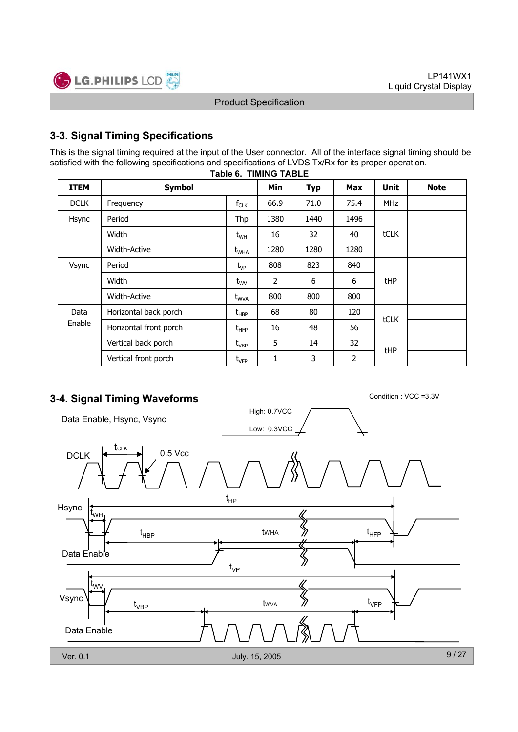

### **3-3. Signal Timing Specifications**

**Table 6. TIMING TABLE** This is the signal timing required at the input of the User connector. All of the interface signal timing should be satisfied with the following specifications and specifications of LVDS Tx/Rx for its proper operation.

| <b>ITEM</b>         | <b>Symbol</b>          |                                  | <b>Min</b> | <b>Typ</b> | <b>Max</b> | <b>Unit</b> | <b>Note</b> |
|---------------------|------------------------|----------------------------------|------------|------------|------------|-------------|-------------|
| <b>DCLK</b>         | Frequency              | $f_{CLK}$                        | 66.9       | 71.0       | 75.4       | <b>MHz</b>  |             |
| Hsync               | Period                 | Thp                              | 1380       | 1440       | 1496       |             |             |
|                     | Width                  | $t_{WH}$                         | 16         | 32         | 40         | <b>tCLK</b> |             |
| <b>Width-Active</b> |                        | t <sub>WHA</sub>                 | 1280       | 1280       | 1280       |             |             |
| Vsync               | Period<br>Width        |                                  | 808        | 823        | 840        |             |             |
|                     |                        |                                  | 2          | 6          | 6          | tHP         |             |
|                     | <b>Width-Active</b>    | $t_{\text{WVA}}$                 | 800        | 800        | 800        |             |             |
| Data                | Horizontal back porch  | $t_{\sf HBP}$                    | 68         | 80         | 120        |             |             |
| Enable              | Horizontal front porch | $t_{\scriptscriptstyle \rm HFP}$ | 16         | 48         | 56         | tCLK        |             |
|                     | Vertical back porch    | $\rm t_{\rm VBP}$                | 5          | 14         | 32         |             |             |
|                     | Vertical front porch   | $t_{\rm VFP}$                    | 1          | 3          | 2          | tHP         |             |

## **3-4. Signal Timing Waveforms** Condition : VCC =3.3V

High: 0.7VCC Data Enable, Hsync, Vsync Low: 0.3VCC tCLK  $DCLK$   $\leftarrow$   $\leftarrow$  0.5 Vcc t HP Hsync t WH  $\mathfrak{t}_{\text{\tiny{HBP}}}$  twha  $\gg$  t tWHA HBP HFP Data Enable ℅ t VP t WV  $\left\langle\!\left\langle {}\right\rangle\!\right\rangle$ Vsync t VFP tWVA t VBP Data Enable 9 / 27 Ver. 0.1 July. 15, 2005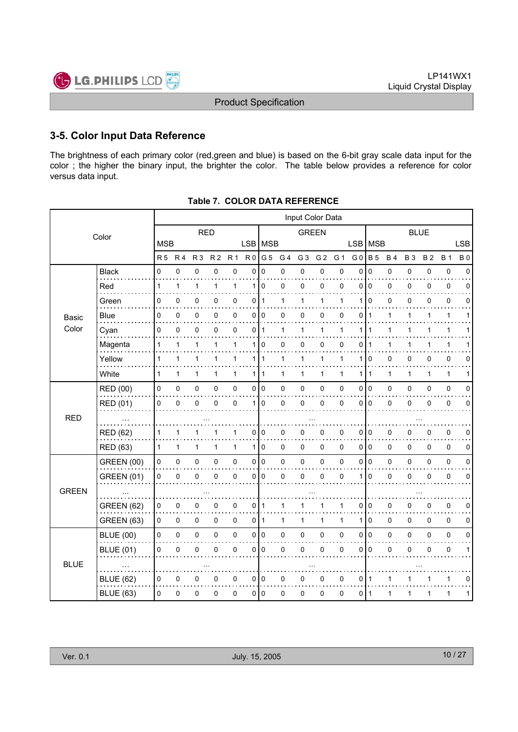

#### **3-5. Color Input Data Reference**

The brightness of each primary color (red,green and blue) is based on the 6-bit gray scale data input for the color ; the higher the binary input, the brighter the color. The table below provides a reference for color versus data input.

|              | Input Color Data  |                |                |                |                |                |                |                |                |                |                |                |                |                |              |           |              |              |             |
|--------------|-------------------|----------------|----------------|----------------|----------------|----------------|----------------|----------------|----------------|----------------|----------------|----------------|----------------|----------------|--------------|-----------|--------------|--------------|-------------|
|              | Color             | <b>RED</b>     |                |                |                | <b>GREEN</b>   |                |                |                | <b>BLUE</b>    |                |                |                |                |              |           |              |              |             |
|              |                   | <b>MSB</b>     |                |                |                |                |                | LSB MSB        |                |                |                |                | <b>LSB</b>     | MSB            |              |           |              |              | <b>LSB</b>  |
|              |                   | R <sub>5</sub> | R <sub>4</sub> | R <sub>3</sub> | R <sub>2</sub> | R <sub>1</sub> | R <sub>0</sub> | G <sub>5</sub> | G <sub>4</sub> | G <sub>3</sub> | G <sub>2</sub> | G <sub>1</sub> | G <sub>0</sub> | <b>B</b> 5     | <b>B4</b>    | <b>B3</b> | <b>B2</b>    | <b>B</b> 1   | <b>B0</b>   |
|              | <b>Black</b>      | $\mathbf 0$    | 0              | $\mathbf 0$    | $\mathbf 0$    | 0              | 0              | $\Omega$       | 0              | 0              | 0              | 0              | $\mathbf{0}$   | $\mathbf 0$    | 0            | 0         | 0            | $\pmb{0}$    | $\Omega$    |
|              | Red               | 1              | 1              | 1              | 1              | $\mathbf{1}$   | $\mathbf 1$    | $\Omega$       | 0              | 0              | 0              | 0              | $\Omega$       | $\Omega$       | 0            | 0         | 0            | $\pmb{0}$    | $\Omega$    |
|              | Green             | 0              | 0              | 0              | 0              | 0              | 0              | 1              | 1              | 1              | 1              | 1              | 1              | $\Omega$       | 0            | 0         | 0            | 0            | 0           |
| Basic        | <b>Blue</b>       | 0              | 0              | 0              | 0              | 0              | 0              | 0              | 0              | 0              | 0              | 0              | 0              | $\mathbf{1}$   | 1            | 1         | 1            | 1            | 1           |
| Color        | Cyan              | 0              | $\pmb{0}$      | $\pmb{0}$      | 0              | 0              | 0              | $\mathbf{1}$   | 1              | $\mathbf{1}$   | $\mathbf{1}$   | 1              | 1              | 1              | 1            | 1         | 1            | $\mathbf{1}$ |             |
|              | Magenta           | 1              | 1              | 1              | 1              | 1              | 1              | 0              | 0              | 0              | 0              | 0              | 0              |                |              | 1         |              | 1            |             |
|              | Yellow            | $\mathbf{1}$   | $\mathbf{1}$   | 1              | 1              | 1              | 1 <sup>1</sup> | $\mathbf{1}$   | 1              | $\mathbf{1}$   | $\mathbf{1}$   | $\mathbf{1}$   | 1              | 0              | 0            | 0         | 0            | 0            | 0           |
|              | White             | 1              | 1              | 1              | 1              | $\mathbf{1}$   | 1              | $\mathbf{1}$   | 1              | 1              | 1              | 1              | 1              | $\overline{1}$ | $\mathbf{1}$ | 1         | $\mathbf{1}$ | $\mathbf{1}$ | 1           |
|              | <b>RED (00)</b>   | 0              | 0              | 0              | 0              | 0              |                | 0 0            | 0              | $\mathbf 0$    | 0              | 0              | 0              | $\overline{0}$ | 0            | 0         | 0            | $\pmb{0}$    | 0           |
|              | RED (01)          | 0              | $\pmb{0}$      | 0              | $\mathbf 0$    | 0              | $\mathbf{1}$   | $\mathbf 0$    | 0              | $\mathbf 0$    | 0              | 0              | $\mathbf{0}$   | $\overline{0}$ | 0            | 0         | 0            | $\pmb{0}$    | $\mathbf 0$ |
| <b>RED</b>   |                   |                |                |                |                |                |                |                |                |                |                |                |                |                |              |           |              |              |             |
|              | <b>RED (62)</b>   | 1              | 1              | 1              |                | 1              | 0              | $\Omega$       | 0              | $\mathbf 0$    | 0              | 0              | $\Omega$       | $\overline{0}$ | 0            | 0         | 0            | 0            | $\Omega$    |
|              | RED (63)          | $\mathbf{1}$   | 1              | 1              | 1              | $\mathbf{1}$   | 1              | $\overline{0}$ | 0              | $\mathbf 0$    | 0              | 0              | 0              | l O            | 0            | 0         | 0            | $\pmb{0}$    | 0           |
|              | <b>GREEN (00)</b> | 0              | 0              | 0              | 0              | 0              | $\overline{0}$ | $\overline{0}$ | 0              | $\mathbf 0$    | 0              | 0              | 0              | $\overline{0}$ | 0            | 0         | 0            | $\pmb{0}$    | 0           |
|              | <b>GREEN (01)</b> | 0              | $\pmb{0}$      | 0              | 0              | 0              | 0              | $\mathbf 0$    | 0              | $\mathbf 0$    | 0              | 0              | 1              | $\mathbf 0$    | 0            | 0         | 0            | $\pmb{0}$    | $\mathbf 0$ |
| <b>GREEN</b> |                   |                |                |                |                |                |                |                |                |                |                |                |                |                |              |           |              |              |             |
|              | <b>GREEN (62)</b> | 0              | 0              | 0              | 0              | 0              | 0              | $\mathbf 1$    | 1              | 1              | 1              | 1              | 0              | $\overline{0}$ | 0            | 0         | 0            | 0            | 0           |
|              | GREEN (63)        | 0              | 0              | $\mathbf 0$    | 0              | 0              |                | 0   1          | $\mathbf{1}$   | $\mathbf{1}$   | $\mathbf{1}$   | $\mathbf{1}$   | 1              | 0              | 0            | 0         | $\Omega$     | $\mathbf 0$  | $\mathbf 0$ |
|              | <b>BLUE (00)</b>  | 0              | 0              | 0              | 0              | 0              |                | 0 0            | 0              | $\pmb{0}$      | 0              | $\pmb{0}$      | 0              | $\overline{0}$ | 0            | 0         | 0            | $\pmb{0}$    | 0           |
|              | <b>BLUE (01)</b>  | 0              | $\pmb{0}$      | 0              | $\mathbf{0}$   | 0              | 0              | $\mathbf 0$    | 0              | $\mathbf 0$    | 0              | 0              | 0              | $\mathbf 0$    | 0            | 0         | 0            | $\pmb{0}$    | 1           |
| <b>BLUE</b>  |                   |                |                |                |                |                |                |                |                |                |                |                |                |                |              |           |              |              |             |
|              | <b>BLUE (62)</b>  | 0              | 0              | 0              | 0              | 0              | $\overline{0}$ | 0              | 0              | 0              | 0              | 0              | 0              | $\overline{1}$ | 1            |           |              | 1            | 0           |
|              | <b>BLUE (63)</b>  | 0              | 0              | $\pmb{0}$      | 0              | 0              | 0 I            | 0              | 0              | 0              | 0              | 0              | 0              | ∣ 1            | 1            | 1         | 1            | 1            | 1           |

| Table 7.COLOR DATA REFERENCE |
|------------------------------|
|                              |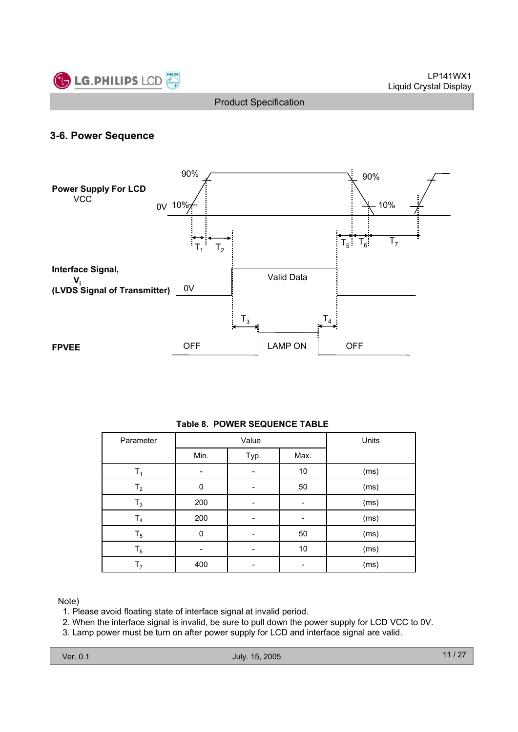

#### **3-6. Power Sequence**



#### **Table 8. POWER SEQUENCE TABLE**

| Parameter      |      | Value | Units |      |
|----------------|------|-------|-------|------|
|                | Min. | Typ.  | Max.  |      |
| Τ,             |      |       | 10    | (ms) |
| T <sub>2</sub> | 0    |       | 50    | (ms) |
| $T_3$          | 200  |       |       | (ms) |
| T <sub>4</sub> | 200  |       |       | (ms) |
| $T_5$          | 0    |       | 50    | (ms) |
| $\mathsf{T}_6$ |      |       | 10    | (ms) |
| T <sub>7</sub> | 400  |       |       | (ms) |

Note)

1. Please avoid floating state of interface signal at invalid period.

2. When the interface signal is invalid, be sure to pull down the power supply for LCD VCC to 0V.

3. Lamp power must be turn on after power supply for LCD and interface signal are valid.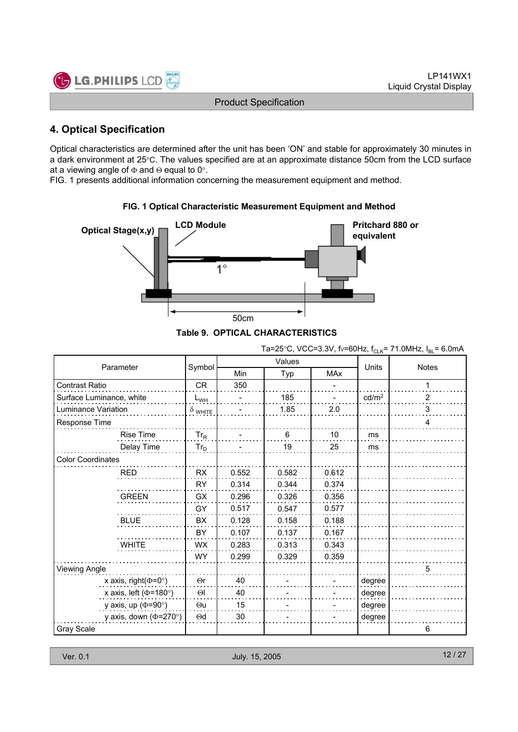

### **4. Optical Specification**

Optical characteristics are determined after the unit has been 'ON' and stable for approximately 30 minutes in a dark environment at 25°C. The values specified are at an approximate distance 50cm from the LCD surface at a viewing angle of  $\Phi$  and  $\Theta$  equal to 0°.

FIG. 1 presents additional information concerning the measurement equipment and method.



#### **FIG. 1 Optical Characteristic Measurement Equipment and Method**

|  |  | Table 9. OPTICAL CHARACTERISTICS |
|--|--|----------------------------------|
|--|--|----------------------------------|

| Ta=25°C, VCC=3.3V, fv=60Hz, f <sub>CLK</sub> = 71.0MHz, I <sub>BL</sub> = 6.0mA |  |  |
|---------------------------------------------------------------------------------|--|--|
|---------------------------------------------------------------------------------|--|--|

| Parameter                    |                |       | Values         | <b>Units</b> | <b>Notes</b>      |   |
|------------------------------|----------------|-------|----------------|--------------|-------------------|---|
|                              | Symbol         | Min   | Typ            | <b>MAx</b>   |                   |   |
| Contrast Ratio               | <b>CR</b>      | 350   |                |              |                   | 1 |
| Surface Luminance, white     | $L_{WH}$       |       | 185            |              | cd/m <sup>2</sup> | 2 |
| Luminance Variation          | $\delta$ white |       | 1.85           | 2.0          |                   | 3 |
| Response Time                |                |       |                |              |                   | 4 |
| <b>Rise Time</b>             | $Tr_R$         |       | $6\phantom{1}$ | 10           | ms                |   |
| Delay Time                   | $Tr_D$         |       | 19             | 25           | ms                |   |
| <b>Color Coordinates</b>     |                |       |                |              |                   |   |
| <b>RED</b>                   | <b>RX</b>      | 0.552 | 0.582          | 0.612        |                   |   |
|                              | <b>RY</b>      | 0.314 | 0.344          | 0.374        |                   |   |
| <b>GREEN</b>                 | <b>GX</b>      | 0.296 | 0.326          | 0.356        |                   |   |
|                              | GY             | 0.517 | 0.547          | 0.577        |                   |   |
| <b>BLUE</b>                  | <b>BX</b>      | 0.128 | 0.158          | 0.188        |                   |   |
|                              | BY             | 0.107 | 0.137          | 0.167        |                   |   |
| <b>WHITE</b>                 | <b>WX</b>      | 0.283 | 0.313          | 0.343        |                   |   |
|                              | <b>WY</b>      | 0.299 | 0.329          | 0.359        |                   |   |
| <b>Viewing Angle</b>         |                |       |                |              |                   | 5 |
| x axis, right( $\Phi$ =0°)   | $\Theta$ r     | 40    |                |              | degree            |   |
| x axis, left ( $\Phi$ =180°) | $\Theta$       | 40    |                |              | degree            |   |
| y axis, up ( $\Phi$ =90°)    | $\Theta$ u     | 15    |                |              | degree            |   |
| y axis, down ( $\Phi$ =270°) | $\Theta$ d     | 30    |                |              | degree            |   |
| Gray Scale                   |                |       |                |              |                   | 6 |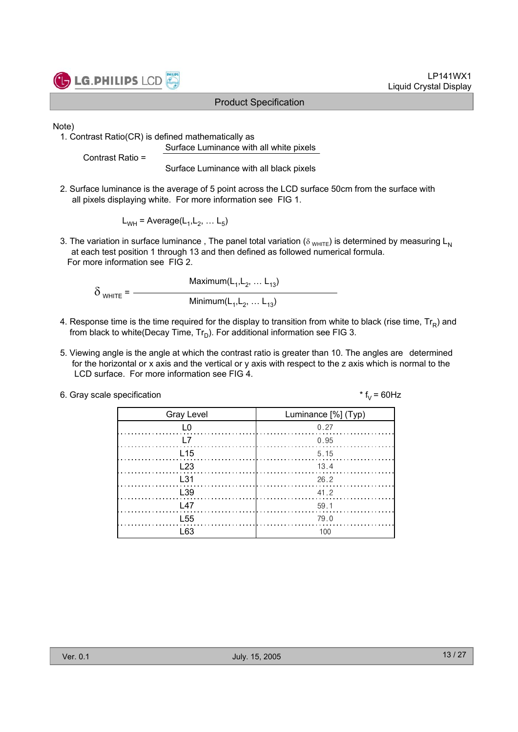

LP141WX1 Liquid Crystal Display

Note)

1. Contrast Ratio(CR) is defined mathematically as Surface Luminance with all white pixels

Contrast Ratio =

Surface Luminance with all black pixels

2. Surface luminance is the average of 5 point across the LCD surface 50cm from the surface with all pixels displaying white. For more information see FIG 1.

 $L_{WH}$  = Average( $L_1, L_2, \ldots L_5$ )

3. The variation in surface luminance, The panel total variation ( $\delta_{WHTE}$ ) is determined by measuring L<sub>N</sub> at each test position 1 through 13 and then defined as followed numerical formula. For more information see FIG 2.

Maximum $(L_1, L_2, ... L_{13})$  $\delta$  white =  $-$ Minimum $(L_1, L_2, ... L_{13})$ 

- 4. Response time is the time required for the display to transition from white to black (rise time,  $Tr_R$ ) and from black to white(Decay Time,  $Tr_D$ ). For additional information see FIG 3.
- 5. Viewing angle is the angle at which the contrast ratio is greater than 10. The angles are determined for the horizontal or x axis and the vertical or y axis with respect to the z axis which is normal to the LCD surface. For more information see FIG 4.

| 6. Gray scale specification | * $f_v = 60$ Hz |
|-----------------------------|-----------------|
|-----------------------------|-----------------|

| <b>Gray Level</b> | Luminance [%] (Typ)                                              |
|-------------------|------------------------------------------------------------------|
| L0                | 0.27                                                             |
| l 7               | 0.95                                                             |
| L <sub>15</sub>   | 5.15                                                             |
| L23               | $\begin{array}{c c c c c} \hline & & 13.4 \\ \hline \end{array}$ |
| $\pm$ 31          | 26.2                                                             |
| L <sub>39</sub>   | 41.2                                                             |
| $\sqrt{47}$       | 59.1                                                             |
| <b>155</b>        | 79.0                                                             |
| I 63              | 100                                                              |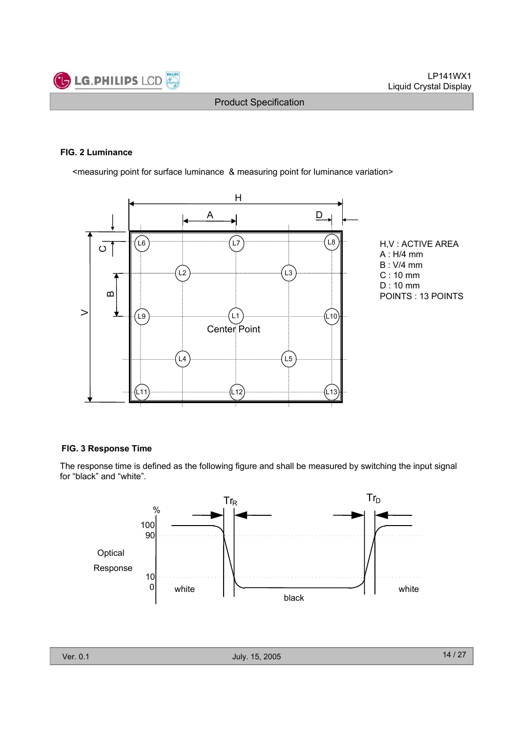

#### **FIG. 2 Luminance**

<measuring point for surface luminance & measuring point for luminance variation>



H,V : ACTIVE AREA A : H/4 mm B : V/4 mm C : 10 mm D : 10 mm POINTS : 13 POINTS

#### **FIG. 3 Response Time**

The response time is defined as the following figure and shall be measured by switching the input signal for "black" and "white".

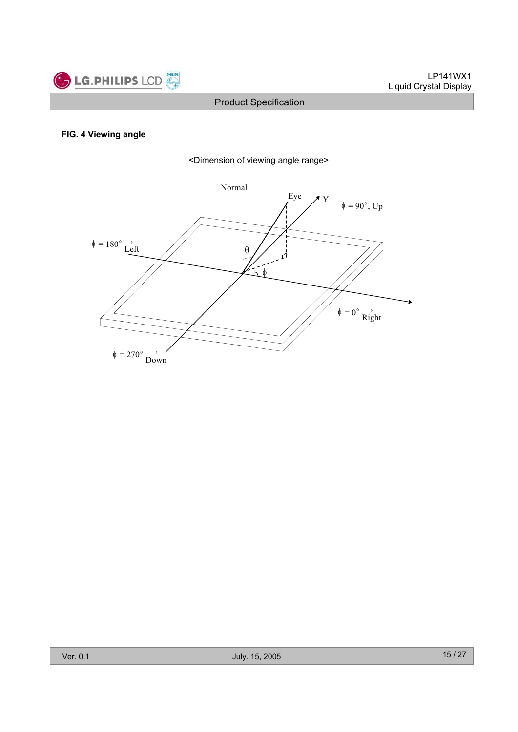

### **FIG. 4 Viewing angle**



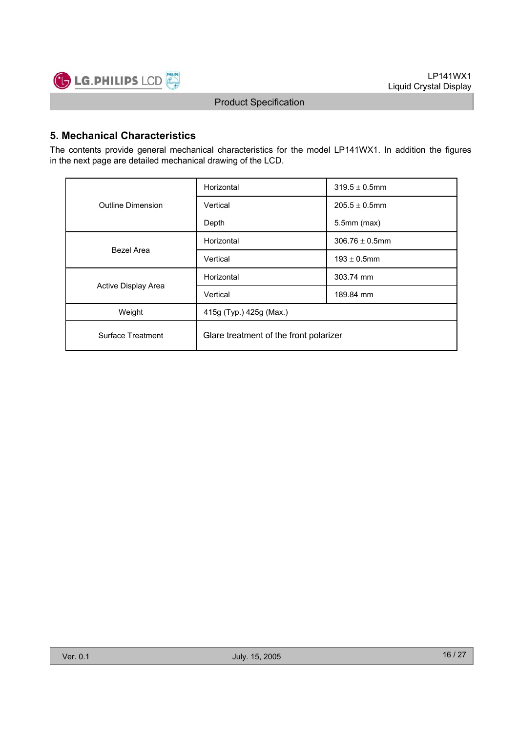

### **5. Mechanical Characteristics**

The contents provide general mechanical characteristics for the model LP141WX1. In addition the figures in the next page are detailed mechanical drawing of the LCD.

|                     | Horizontal                             | $319.5 \pm 0.5$ mm  |  |  |  |
|---------------------|----------------------------------------|---------------------|--|--|--|
| Outline Dimension   | Vertical                               | $205.5 \pm 0.5$ mm  |  |  |  |
|                     | Depth                                  | $5.5$ mm $(max)$    |  |  |  |
| Bezel Area          | Horizontal                             | $306.76 \pm 0.5$ mm |  |  |  |
|                     | Vertical                               | $193 \pm 0.5$ mm    |  |  |  |
|                     | Horizontal                             | 303.74 mm           |  |  |  |
| Active Display Area | Vertical                               | 189.84 mm           |  |  |  |
| Weight              | 415g (Typ.) 425g (Max.)                |                     |  |  |  |
| Surface Treatment   | Glare treatment of the front polarizer |                     |  |  |  |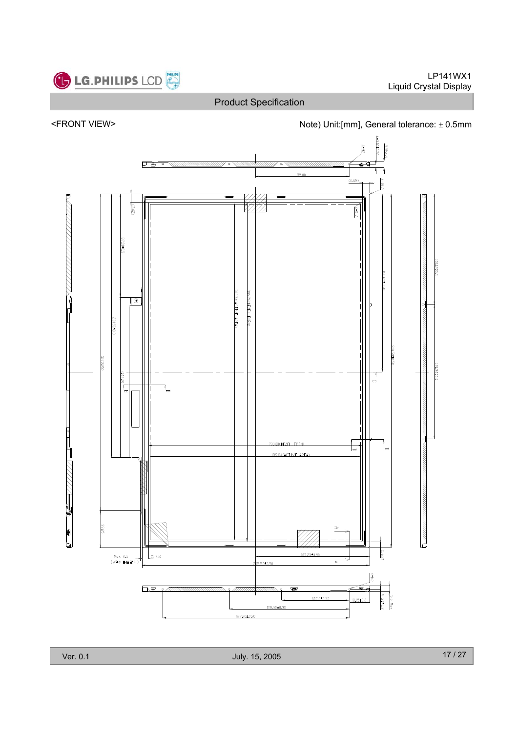





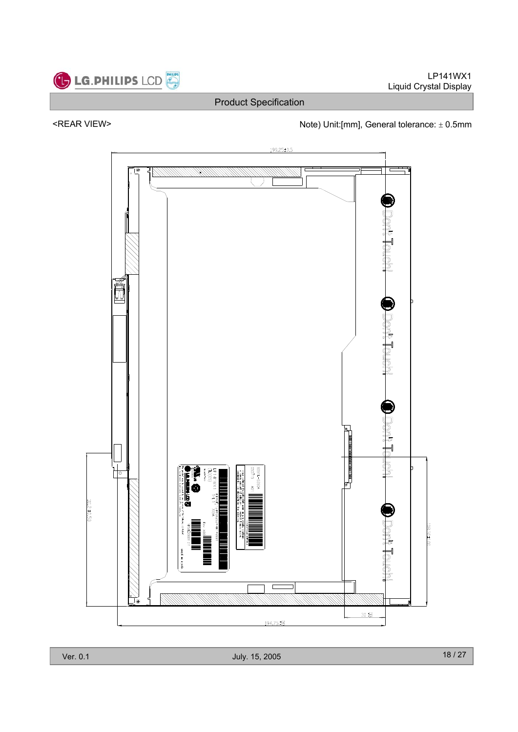

**LG.PHILIPS LCD** 

Product Specification

## <REAR VIEW> Note) Unit:[mm], General tolerance:  $\pm$  0.5mm



Ver. 0.1 July. 15, 2005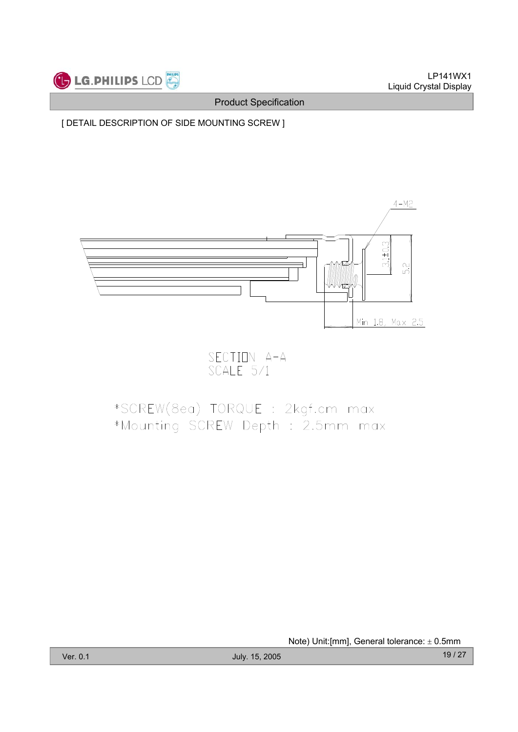

[ DETAIL DESCRIPTION OF SIDE MOUNTING SCREW ]



SECTION A-A<br>SCALE 5/1

# \*SCREW(8ea) TORQUE : 2kgf.cm max \*Mounting SCREW Depth : 2.5mm max

Note) Unit: [mm], General tolerance:  $\pm$  0.5mm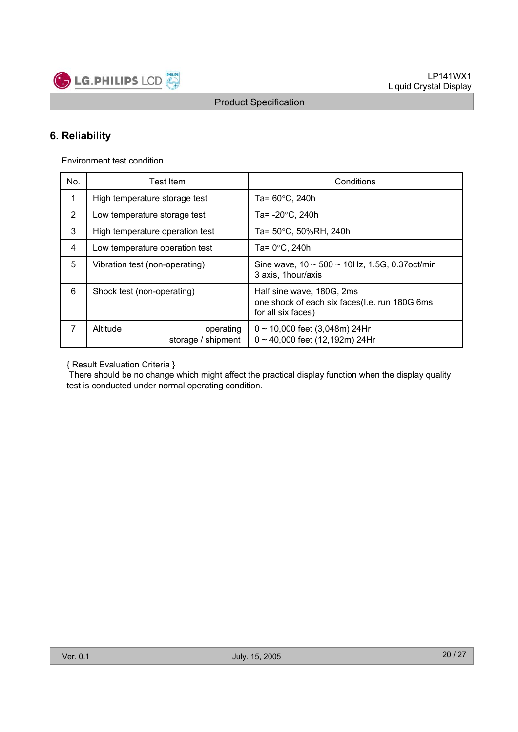

### **6. Reliability**

Environment test condition

| No.         | Test Item                                   | Conditions                                                                                       |
|-------------|---------------------------------------------|--------------------------------------------------------------------------------------------------|
| $\mathbf 1$ | High temperature storage test               | Ta= $60^{\circ}$ C, 240h                                                                         |
| 2           | Low temperature storage test                | Ta= $-20^{\circ}$ C, 240h                                                                        |
| 3           | High temperature operation test             | Ta= 50°C, 50%RH, 240h                                                                            |
| 4           | Low temperature operation test              | Ta= $0^{\circ}$ C, 240h                                                                          |
| 5           | Vibration test (non-operating)              | Sine wave, $10 \sim 500 \sim 10$ Hz, 1.5G, 0.37 oct/min<br>3 axis, 1 hour/axis                   |
| 6           | Shock test (non-operating)                  | Half sine wave, 180G, 2ms<br>one shock of each six faces(I.e. run 180G 6ms<br>for all six faces) |
| 7           | Altitude<br>operating<br>storage / shipment | $0 \sim 10,000$ feet (3,048m) 24Hr<br>$0 \sim 40,000$ feet (12,192m) 24Hr                        |

{ Result Evaluation Criteria }

There should be no change which might affect the practical display function when the display quality test is conducted under normal operating condition.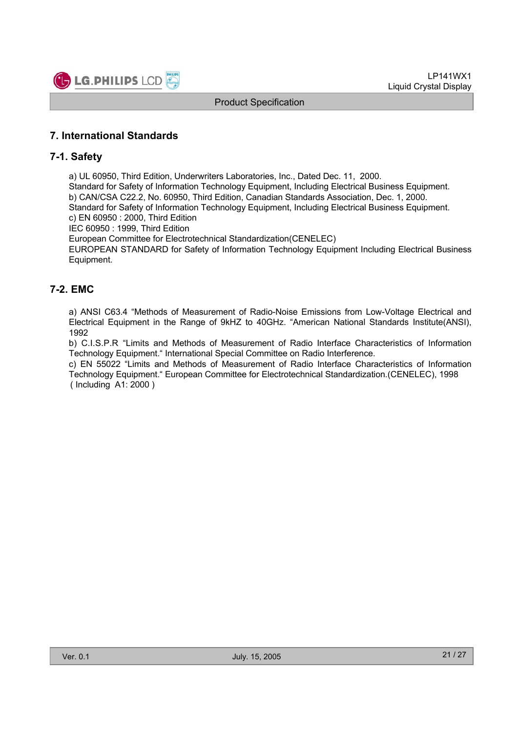

### **7. International Standards**

#### **7-1. Safety**

a) UL 60950, Third Edition, Underwriters Laboratories, Inc., Dated Dec. 11, 2000.

Standard for Safety of Information Technology Equipment, Including Electrical Business Equipment. b) CAN/CSA C22.2, No. 60950, Third Edition, Canadian Standards Association, Dec. 1, 2000. Standard for Safety of Information Technology Equipment, Including Electrical Business Equipment.

c) EN 60950 : 2000, Third Edition

IEC 60950 : 1999, Third Edition

European Committee for Electrotechnical Standardization(CENELEC)

EUROPEAN STANDARD for Safety of Information Technology Equipment Including Electrical Business Equipment.

### **7-2. EMC**

a) ANSI C63.4 "Methods of Measurement of Radio-Noise Emissions from Low-Voltage Electrical and Electrical Equipment in the Range of 9kHZ to 40GHz. "American National Standards Institute(ANSI), 1992

b) C.I.S.P.R "Limits and Methods of Measurement of Radio Interface Characteristics of Information Technology Equipment." International Special Committee on Radio Interference.

c) EN 55022 "Limits and Methods of Measurement of Radio Interface Characteristics of Information Technology Equipment." European Committee for Electrotechnical Standardization.(CENELEC), 1998 ( Including A1: 2000 )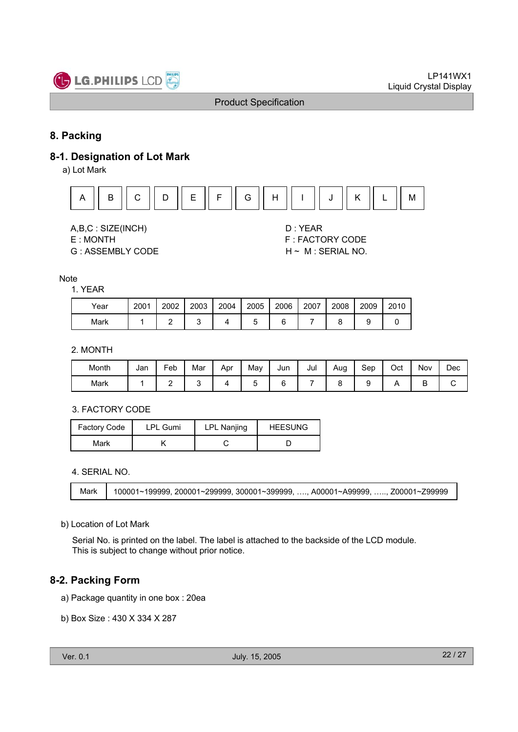

### **8. Packing**

#### **8-1. Designation of Lot Mark**

a) Lot Mark



A,B,C : SIZE(INCH) D : YEAR

G : ASSEMBLY CODE H ~ M : SERIAL NO.

E : MONTH F : FACTORY CODE

#### **Note**

#### 1. YEAR

| Year | 2001 | 2002 | 2003 | 2004 | 2005 | 2006 | 2007 | 2008 | 2009 | 2010 |
|------|------|------|------|------|------|------|------|------|------|------|
| Mark |      |      |      |      |      |      |      |      |      |      |

#### 2. MONTH

| Month | Jan | -<br>Feb | Mar | Apr | Mav | Jun | Jul | Aug | Sep | Oct | Nov    | Dec |
|-------|-----|----------|-----|-----|-----|-----|-----|-----|-----|-----|--------|-----|
| Mark  |     | -        |     |     | ∼   |     |     |     |     |     | г<br>◡ | ັ   |

#### 3. FACTORY CODE

| <b>Factory Code</b> | <b>LPL Gumi</b> | <b>LPL Nanjing</b> | <b>HEESUNG</b> |
|---------------------|-----------------|--------------------|----------------|
| Mark                |                 |                    |                |

4. SERIAL NO.

Mark 100001~199999, 200001~299999, 300001~399999, …., A00001~A99999, ….., Z00001~Z99999

#### b) Location of Lot Mark

Serial No. is printed on the label. The label is attached to the backside of the LCD module. This is subject to change without prior notice.

#### **8-2. Packing Form**

- a) Package quantity in one box : 20ea
- b) Box Size : 430 X 334 X 287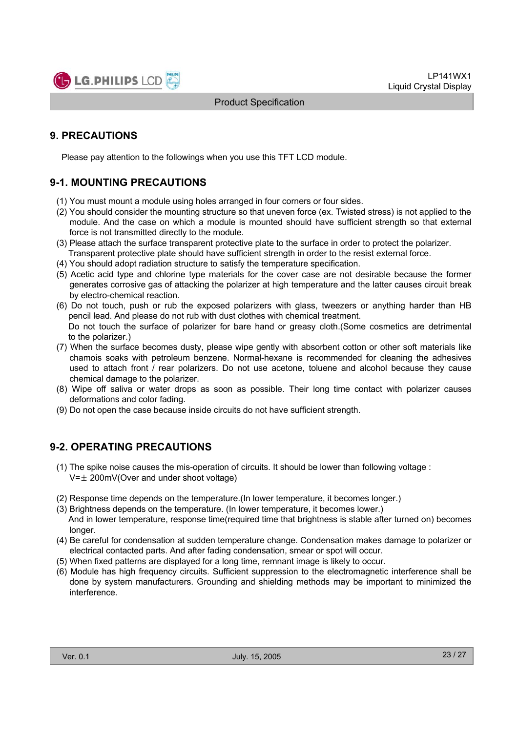

### **9. PRECAUTIONS**

Please pay attention to the followings when you use this TFT LCD module.

### **9-1. MOUNTING PRECAUTIONS**

- (1) You must mount a module using holes arranged in four corners or four sides.
- (2) You should consider the mounting structure so that uneven force (ex. Twisted stress) is not applied to the module. And the case on which a module is mounted should have sufficient strength so that external force is not transmitted directly to the module.
- (3) Please attach the surface transparent protective plate to the surface in order to protect the polarizer. Transparent protective plate should have sufficient strength in order to the resist external force.
- (4) You should adopt radiation structure to satisfy the temperature specification.
- (5) Acetic acid type and chlorine type materials for the cover case are not desirable because the former generates corrosive gas of attacking the polarizer at high temperature and the latter causes circuit break by electro-chemical reaction.
- (6) Do not touch, push or rub the exposed polarizers with glass, tweezers or anything harder than HB pencil lead. And please do not rub with dust clothes with chemical treatment. Do not touch the surface of polarizer for bare hand or greasy cloth.(Some cosmetics are detrimental to the polarizer.)
- (7) When the surface becomes dusty, please wipe gently with absorbent cotton or other soft materials like chamois soaks with petroleum benzene. Normal-hexane is recommended for cleaning the adhesives used to attach front / rear polarizers. Do not use acetone, toluene and alcohol because they cause chemical damage to the polarizer.
- (8) Wipe off saliva or water drops as soon as possible. Their long time contact with polarizer causes deformations and color fading.
- (9) Do not open the case because inside circuits do not have sufficient strength.

### **9-2. OPERATING PRECAUTIONS**

- (1) The spike noise causes the mis-operation of circuits. It should be lower than following voltage :  $V=\pm 200$ mV(Over and under shoot voltage)
- (2) Response time depends on the temperature.(In lower temperature, it becomes longer.)
- (3) Brightness depends on the temperature. (In lower temperature, it becomes lower.) And in lower temperature, response time(required time that brightness is stable after turned on) becomes longer.
- (4) Be careful for condensation at sudden temperature change. Condensation makes damage to polarizer or electrical contacted parts. And after fading condensation, smear or spot will occur.
- (5) When fixed patterns are displayed for a long time, remnant image is likely to occur.
- (6) Module has high frequency circuits. Sufficient suppression to the electromagnetic interference shall be done by system manufacturers. Grounding and shielding methods may be important to minimized the interference.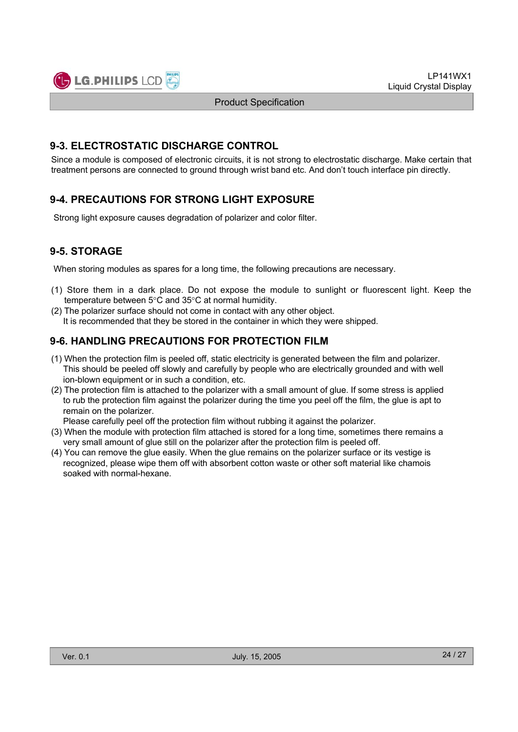

#### **9-3. ELECTROSTATIC DISCHARGE CONTROL**

Since a module is composed of electronic circuits, it is not strong to electrostatic discharge. Make certain that treatment persons are connected to ground through wrist band etc. And don't touch interface pin directly.

### **9-4. PRECAUTIONS FOR STRONG LIGHT EXPOSURE**

Strong light exposure causes degradation of polarizer and color filter.

### **9-5. STORAGE**

When storing modules as spares for a long time, the following precautions are necessary.

- (1) Store them in a dark place. Do not expose the module to sunlight or fluorescent light. Keep the temperature between  $5^{\circ}$ C and  $35^{\circ}$ C at normal humidity.
- (2) The polarizer surface should not come in contact with any other object. It is recommended that they be stored in the container in which they were shipped.

### **9-6. HANDLING PRECAUTIONS FOR PROTECTION FILM**

- (1) When the protection film is peeled off, static electricity is generated between the film and polarizer. This should be peeled off slowly and carefully by people who are electrically grounded and with well ion-blown equipment or in such a condition, etc.
- (2) The protection film is attached to the polarizer with a small amount of glue. If some stress is applied to rub the protection film against the polarizer during the time you peel off the film, the glue is apt to remain on the polarizer.

Please carefully peel off the protection film without rubbing it against the polarizer.

- (3) When the module with protection film attached is stored for a long time, sometimes there remains a very small amount of glue still on the polarizer after the protection film is peeled off.
- (4) You can remove the glue easily. When the glue remains on the polarizer surface or its vestige is recognized, please wipe them off with absorbent cotton waste or other soft material like chamois soaked with normal-hexane.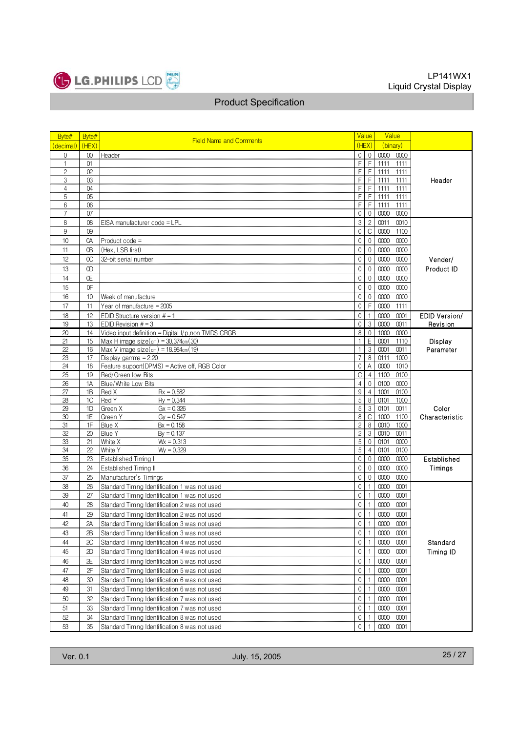

| Byte#          | Byte#           |                                                          |                                  | Value            | Value                |                      |
|----------------|-----------------|----------------------------------------------------------|----------------------------------|------------------|----------------------|----------------------|
| (decimal)      | (HEX)           | <b>Field Name and Comments</b>                           |                                  | (HEX)            | (binary)             |                      |
| 0              | $^{00}$         | Header                                                   | $\overline{0}$                   | $\mathbb O$      | 0000<br>0000         |                      |
| $\mathbf{1}$   | 01              |                                                          | $\overline{\mathsf{F}}$          | $\overline{F}$   | 1111<br>1111         |                      |
| $\mathbf{2}$   | 02              |                                                          | F.                               | $\mathsf F$      | 1111<br>1111         |                      |
| 3              | 03              |                                                          | F                                | F                | 1111<br>1111         | Header               |
| $\overline{4}$ | 04              |                                                          | F                                | F                | 1111<br>1111         |                      |
| 5              | 05              |                                                          | F                                | F                | 1111<br>1111         |                      |
| 6              | 06              |                                                          | F.                               | F                | 1111<br>1111         |                      |
| 7              | 07              |                                                          | $\mathbf 0$                      | $\mathbf 0$      | 0000<br>0000         |                      |
| 8              | 08              | EISA manufacturer code = LPL                             | $\mathfrak{S}$                   | $\overline{c}$   | 0011<br>0010         |                      |
| 9              | 09              |                                                          | $\overline{0}$                   | $\mathsf C$      | 0000<br>1100         |                      |
| 10             | 0A              | Product code =                                           | $\overline{0}$                   | $\mathbf 0$      | 0000<br>0000         |                      |
| 11             | 0B              | (Hex, LSB first)                                         | 0                                | $\mathbf 0$      | 0000<br>0000         |                      |
| 12             | OC              | 32-bit serial number                                     | 0                                | $\boldsymbol{0}$ | 0000<br>0000         | Vender/              |
| 13             | OD              |                                                          | 0                                | $\mathbf 0$      | 0000<br>0000         | Product ID           |
| 14             | 0E              |                                                          | 0                                | $\mathbf 0$      | $0000\,$<br>0000     |                      |
| 15             | 0F              |                                                          | 0                                | $\mathbf 0$      | 0000<br>0000         |                      |
| 16             | 10 <sup>1</sup> | Week of manufacture                                      | 0                                | $\mathbf 0$      | 0000<br>0000         |                      |
| 17             | 11              | Year of manufacture = 2005                               | 0                                | F                | 0000<br>1111         |                      |
| 18             | 12              | EDID Structure version $# = 1$                           | $\overline{0}$                   |                  | 0000<br>0001         | <b>EDID Version/</b> |
| 19             | 13              | EDID Revision $# = 3$                                    | 0                                | 3                | 0000<br>0011         | Revision             |
| 20             | 14              | Video input definition = Digital I/p,non TMDS CRGB       | 8                                | $\mathbb O$      | 1000<br>0000         |                      |
| 21             | 15              | Max H image size $(\text{cm}) = 30.374 \text{cm}$ $(30)$ | $\mathbf{1}$                     | E                | 0001<br>1110         | Display              |
| 22             | 16              | Max V image $size(cm) = 18.984cm(19)$                    |                                  | 3                | 0011<br>0001         | Parameter            |
| 23             | 17              | Display gamma $= 2.20$                                   | $\overline{7}$                   | 8                | 0111<br>1000         |                      |
| 24             | 18              | Feature support(DPMS) = Active off, RGB Color            | 0                                | A                | 0000<br>1010         |                      |
| 25             | 19              | Red/Green low Bits                                       | C                                | $\overline{4}$   | 1100<br>0100         |                      |
| 26             | 1A              | Blue/White Low Bits                                      | $\overline{4}$                   | $\Omega$         | 0100<br>0000         |                      |
| 27             | 1B              | $Rx = 0.582$<br>Red X                                    | $\overline{9}$                   | $\overline{4}$   | 1001<br>0100         |                      |
| 28             | 1C              | Red Y<br>$Rv = 0.344$                                    | 5                                | 8                | 0101<br>1000         |                      |
| 29             | 1D              | Green X<br>$Gx = 0.326$                                  | 5                                | 3                | 0101<br>0011         | Color                |
| 30             | 1E<br>1F        | Green Y<br>$Gy = 0.547$                                  | 8                                | C                | 1000<br>1100<br>0010 | Characteristic       |
| 31<br>32       | 20              | Blue X<br>$Bx = 0.158$<br>Blue Y                         | $\overline{c}$<br>$\overline{2}$ | 8<br>3           | 1000<br>0010<br>0011 |                      |
| 33             | 21              | $By = 0.137$<br>White X<br>$Wx = 0.313$                  | $\mathbf 5$                      | $\boldsymbol{0}$ | 0101<br>0000         |                      |
| 34             | 22              | White Y<br>$Wy = 0.329$                                  | 5                                | $\overline{4}$   | 0101<br>0100         |                      |
| 35             | 23              | Established Timing I                                     | $\overline{0}$                   | 0                | 0000<br>0000         | Established          |
| 36             | 24              | Established Timing II                                    | $\overline{0}$                   | $\mathbf{0}$     | 0000<br>0000         | Timings              |
| 37             | 25              | Manufacturer's Timings                                   | 0                                | $\mathbf{0}$     | 0000<br>0000         |                      |
| 38             | 26              | Standard Timing Identification 1 was not used            | $\mathbf{0}$                     | $\mathbf{1}$     | 0000<br>0001         |                      |
| 39             | 27              | Standard Timing Identification 1 was not used            | $\mathbf 0$                      | $\mathbf{1}$     | 0001<br>0000         |                      |
| 40             | 28              | Standard Timing Identification 2 was not used            | $\mathbf 0$                      | $\mathbf{1}$     | 0000<br>0001         |                      |
| 41             | 29              |                                                          | 0                                | $\mathbf{1}$     | 0000                 |                      |
|                |                 | Standard Timing Identification 2 was not used            |                                  |                  | 0001                 |                      |
| 42             | 2Α              | Standard Timing Identification 3 was not used            | $\overline{0}$                   |                  | 0000<br>0001         |                      |
| 43             | 2В              | Standard Timing Identification 3 was not used            | $\overline{0}$                   | $\overline{1}$   | 0000<br>0001         |                      |
| 44             | 2C              | Standard Timing Identification 4 was not used            | $\overline{0}$                   | $\mathbf{1}$     | 0001<br>0000         | Standard             |
| 45             | 2D              | Standard Timing Identification 4 was not used            | $\mathbf 0$                      | $\mathbf{1}$     | 0000<br>0001         | Timing ID            |
| 46             | 2E              | Standard Timing Identification 5 was not used            | 0                                | $\mathbf{1}$     | 0000<br>0001         |                      |
| 47             | 2F              | Standard Timing Identification 5 was not used            | $\mathbf 0$                      | $\mathbf{1}$     | 0000<br>0001         |                      |
| 48             | 30              | Standard Timing Identification 6 was not used            | 0                                | $\mathbf{1}$     | 0001<br>0000         |                      |
| 49             | 31              | Standard Timing Identification 6 was not used            | 0                                | $\mathbf{1}$     | 0001<br>0000         |                      |
| 50             | 32              | Standard Timing Identification 7 was not used            | 0                                | $\mathbf{1}$     | 0000<br>0001         |                      |
| 51             | 33              | Standard Timing Identification 7 was not used            | 0                                | $\mathbf{1}$     | 0000<br>0001         |                      |
| 52             | 34              | Standard Timing Identification 8 was not used            | 0                                | $\mathbf{1}$     | 0000<br>0001         |                      |
| 53             | 35              | Standard Timing Identification 8 was not used            | 0                                | 1                | 0000<br>0001         |                      |
|                |                 |                                                          |                                  |                  |                      |                      |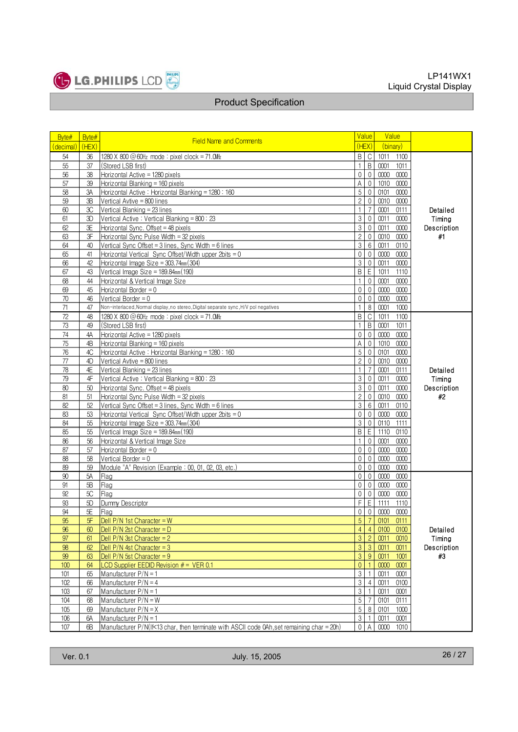

| Byte#     | Byte# | <b>Field Name and Comments</b>                                                             |                | Value            | Value        |             |
|-----------|-------|--------------------------------------------------------------------------------------------|----------------|------------------|--------------|-------------|
| (decimal) | (HEX) |                                                                                            |                | (HEX)            | (binary)     |             |
| 54        | 36    | 1280 X 800 @ 60Hz mode: pixel clock = 71.0MHz                                              |                | BC               | 1011 1100    |             |
| 55        | 37    | (Stored LSB first)                                                                         | 1 <sup>1</sup> | $\overline{B}$   | 0001 1011    |             |
| 56        | 38    | Horizontal Active = 1280 pixels                                                            |                | 0 <sub>0</sub>   | 0000 0000    |             |
| 57        | 39    | Horizontal Blanking = 160 pixels                                                           | $\mathsf{A}$   | $\mathbb O$      | 1010 0000    |             |
| 58        | 3A    | Horizontal Active: Horizontal Blanking = 1280: 160                                         | 5 <sup>1</sup> | $\overline{0}$   | 0101<br>0000 |             |
| 59        | 3B    | Vertical Avtive = 800 lines                                                                | $\overline{2}$ | $\mathbb O$      | 0010 0000    |             |
| 60        | 3C    | Vertical Blanking = 23 lines                                                               | 1              | $\overline{7}$   | 0001<br>0111 | Detailed    |
| 61        | 3D    | Vertical Active: Vertical Blanking = 800: 23                                               | $\overline{3}$ | $\overline{0}$   | 0011 0000    | Timing      |
| 62        | 3E    | Horizontal Sync. Offset = 48 pixels                                                        | $\overline{3}$ | $\mathbf{0}$     | 0011<br>0000 | Description |
| 63        | 3F    | Horizontal Sync Pulse Width = 32 pixels                                                    | $2 \mid$       | $\mathbf{0}$     | 0010 0000    | #1          |
| 64        | 40    | Vertical Sync Offset = $3$ lines, Sync Width = $6$ lines                                   | $\overline{3}$ | $\,6\,$          | 0011 0110    |             |
| 65        | 41    | Horizontal Vertical Sync Offset/Width upper 2bits = 0                                      | $\overline{0}$ | $\mathbf{0}$     | 0000 0000    |             |
| 66        | 42    | Horizontal Image Size = $303.74$ mm $(304)$                                                |                | 30               | 0011 0000    |             |
| 67        | 43    | Vertical Image Size = 189.84mm (190)                                                       |                | <b>B</b> E       | 1011 1110    |             |
| 68        | 44    | Horizontal & Vertical Image Size                                                           | 1              | $\mathbf{0}$     | 0001<br>0000 |             |
| 69        | 45    | Horizontal Border = $0$                                                                    | $\overline{0}$ | $\mathbf 0$      | 0000 0000    |             |
| 70        | 46    | Vertical Border = $0$                                                                      | $\overline{0}$ | $\mathbb O$      | 0000<br>0000 |             |
| 71        | 47    | Non-interlaced, Normal display, no stereo, Digital separate sync, H/V pol negatives        | $\mathbf{1}$   | 8                | 0001<br>1000 |             |
| 72        | 48    | 1280 X 800 $@$ 60Hz mode: pixel clock = 71.0MHz                                            |                | B C              | 1011<br>1100 |             |
| 73        | 49    | (Stored LSB first)                                                                         | 1 <sup>1</sup> | $\,$ B           | 0001 1011    |             |
| 74        | 4A    | Horizontal Active = 1280 pixels                                                            | $\overline{0}$ | $\mathbf{0}$     | 0000 0000    |             |
| 75        | 4B    | Horizontal Blanking = 160 pixels                                                           | $\mathsf{A}$   | $\mathbb O$      | 1010 0000    |             |
| 76        | 4C    | Horizontal Active: Horizontal Blanking = 1280: 160                                         | $\overline{5}$ | $\overline{0}$   | 0101 0000    |             |
| 77        | 4D    | Vertical Avtive = 800 lines                                                                | $\overline{2}$ | $\mathbf 0$      | 0010 0000    |             |
| 78        | 4E    | Vertical Blanking = 23 lines                                                               | 1 <sup>1</sup> | $\overline{7}$   | 0001 0111    | Detailed    |
| 79        | 4F    | Vertical Active : Vertical Blanking = 800 : 23                                             | $\overline{3}$ | $\mathbf 0$      | 0011<br>0000 | Timing      |
| 80        | 50    | Horizontal Sync. Offset = 48 pixels                                                        | 3 <sup>1</sup> | $\mathbf{0}$     | 0011<br>0000 | Description |
| 81        | 51    | Horizontal Sync Pulse Width = 32 pixels                                                    | $\overline{2}$ | $\mathbf{0}$     | 0010 0000    | #2          |
| 82        | 52    | Vertical Sync Offset = $3$ lines, Sync Width = $6$ lines                                   | $\overline{3}$ | 6                | 0011<br>0110 |             |
| 83        | 53    | Horizontal Vertical Sync Offset/Width upper 2bits = 0                                      |                | 0 <sup>0</sup>   | 0000 0000    |             |
| 84        | 55    | Horizontal Image Size = $303.74$ mm $(304)$                                                | $\overline{3}$ | $\mathbb O$      | 0110 1111    |             |
| 85        | 55    | Vertical Image Size = 189.84mm (190)                                                       | $\mathsf{B}$   | E                | 1110 0110    |             |
| 86        | 56    | Horizontal & Vertical Image Size                                                           | 1              | $\overline{0}$   | 0001 0000    |             |
| 87        | 57    | Horizontal Border = $0$                                                                    | $\overline{0}$ | $\overline{0}$   | 0000 0000    |             |
| 88        | 58    | Vertical Border = $0$                                                                      |                | 0 <sup>0</sup>   | 0000 0000    |             |
| 89        | 59    | Module "A" Revision (Example : 00, 01, 02, 03, etc.)                                       | $\overline{0}$ | $\Omega$         | 0000<br>0000 |             |
| 90        | 5A    | Flag                                                                                       |                | 0 <sup>0</sup>   | 0000<br>0000 |             |
| 91        | 5B    | Flag                                                                                       | $\overline{0}$ | $\mathbf 0$      | 0000 0000    |             |
| 92        | 5C    | Flag                                                                                       |                | $0 \mid 0$       | 0000<br>0000 |             |
| 93        | 5D    | Dummy Descriptor                                                                           |                | $F$ $E$          | 1111 1110    |             |
| 94        | 5E    | Flag                                                                                       | $\overline{0}$ | $\mathbf 0$      | 0000 0000    |             |
| 95        | 5F    | Dell $P/N$ 1st Character = W                                                               | 5 <sup>1</sup> |                  | 0101<br>0111 |             |
| 96        | 60    | Dell $P/N$ 2st Character = $D$                                                             |                | $4 \mid 4$       | 0100 0100    | Detailed    |
| 97        | 61    | Dell $P/N$ 3st Character = 2                                                               |                | 3 <sup>2</sup>   | 0011<br>0010 | Timing      |
| 98        | 62    | Dell $P/N$ 4st Character = 3                                                               |                | $3 \mid 3$       | 0011<br>0011 | Description |
| 99        | 63    | Dell $P/N$ 5st Character = 9                                                               |                | 3 9              | 0011<br>1001 | #3          |
| 100       | 64    | LCD Supplier EEDID Revision $# =$ VER 0.1                                                  |                | 0 <sup>1</sup> 1 | 0000<br>0001 |             |
| 101       | 65    | Manufacturer P/N = 1                                                                       | 3 <sup>1</sup> | $\overline{1}$   | 0011<br>0001 |             |
| 102       | 66    | Manufacturer $P/N = 4$                                                                     |                | $3 \mid 4$       | 0011<br>0100 |             |
| 103       | 67    | Manufacturer $P/N = 1$                                                                     |                | $3 \mid 1$       | 0011<br>0001 |             |
| 104       | 68    | Manufacturer $P/N = W$                                                                     |                | $5-7$            | 0101<br>0111 |             |
| 105       | 69    | Manufacturer $P/N = X$                                                                     |                | $5 \quad 8$      | 0101<br>1000 |             |
| 106       | 6A    | Manufacturer $P/N = 1$                                                                     |                | $3 \mid 1$       | 0001<br>0011 |             |
| 107       | 6B    | Manufacturer P/N(If<13 char, then terminate with ASCII code 0Ah, set remaining char = 20h) |                | 0 A              | 0000 1010    |             |